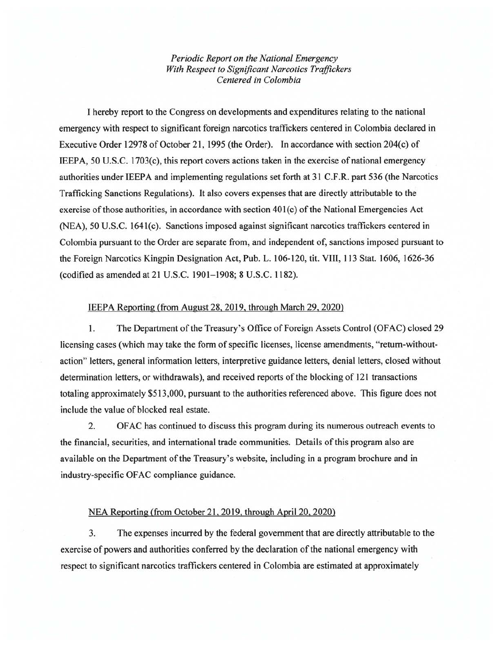*Periodic Report on the National Emergency With Respect to Significant Narcotics Traffickers Centered in Colombia* 

I hereby report to the Congress on developments and expenditures relating to the national emergency with respect to significant foreign narcotics traffickers centered in Colombia declared in Executive Order 12978 of October 21, 1995 (the Order). In accordance with section 204(c) of IEEPA, 50 U.S.C. 1703(c), this report covers actions taken in the exercise of national emergency authorities under IE EPA and implementing regulations set forth at 31 C.F .R. part 536 (the Narcotics Trafficking Sanctions Regulations). It also covers expenses that are directly attributable to the exercise of those authorities, in accordance with section 40l(c) of the National Emergencies Act (NEA), 50 U.S.C. 1641(c). Sanctions imposed against significant narcotics traffickers centered in Colombia pursuant to the Order are separate from, and independent of, sanctions imposed pursuant to the Foreign Narcotics Kingpin Designation Act, Pub. L. 106-120, tit. VIII, 113 Stat. 1606, 1626-36 (codified as amended at 21 U.S.C. 1901- 1908; 8 U.S.C. 1182).

## IEEPA Reporting (from August 28, 2019, through March 29, 2020)

1. The Department of the Treasury's Office of Foreign Assets Control (OFAC) closed 29 licensing cases (which may take the form of specific licenses, license amendments, "return-withoutaction" letters, general information letters, interpretive guidance letters, denial letters, closed without determination letters, or withdrawals), and received reports of the blocking of 121 transactions totaling approximately \$513,000, pursuant to the authorities referenced above. This figure does not include the value of blocked real estate.

2. OF AC has continued to discuss this program during its numerous outreach events to the financial, securities, and international trade communities. Details of this program also are available on the Department of the Treasury's website, including in a program brochure and in industry-specific OF AC compliance guidance.

## NEA Reporting (from October 21, 2019. through April 20, 2020)

3. The expenses incurred by the federal government that are directly attributable to the exercise of powers and authorities conferred by the declaration of the national emergency with respect to significant narcotics traffickers centered in Colombia are estimated at approximately